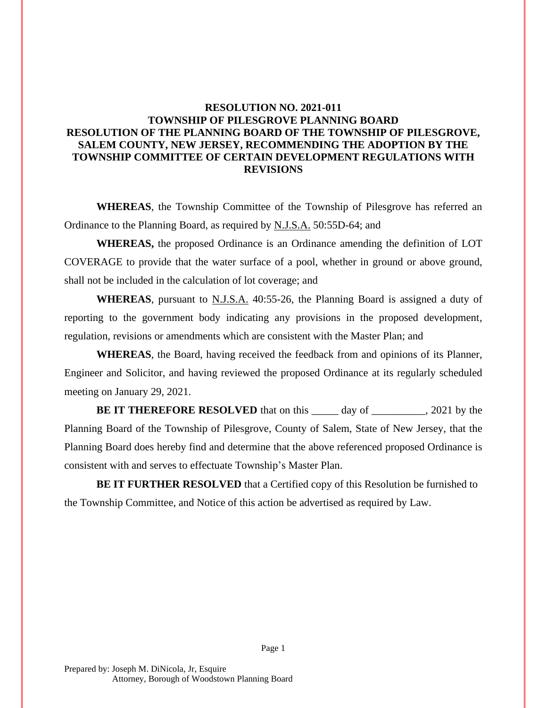## **RESOLUTION NO. 2021-011 TOWNSHIP OF PILESGROVE PLANNING BOARD RESOLUTION OF THE PLANNING BOARD OF THE TOWNSHIP OF PILESGROVE, SALEM COUNTY, NEW JERSEY, RECOMMENDING THE ADOPTION BY THE TOWNSHIP COMMITTEE OF CERTAIN DEVELOPMENT REGULATIONS WITH REVISIONS**

**WHEREAS**, the Township Committee of the Township of Pilesgrove has referred an Ordinance to the Planning Board, as required by N.J.S.A. 50:55D-64; and

**WHEREAS,** the proposed Ordinance is an Ordinance amending the definition of LOT COVERAGE to provide that the water surface of a pool, whether in ground or above ground, shall not be included in the calculation of lot coverage; and

**WHEREAS**, pursuant to N.J.S.A. 40:55-26, the Planning Board is assigned a duty of reporting to the government body indicating any provisions in the proposed development, regulation, revisions or amendments which are consistent with the Master Plan; and

**WHEREAS**, the Board, having received the feedback from and opinions of its Planner, Engineer and Solicitor, and having reviewed the proposed Ordinance at its regularly scheduled meeting on January 29, 2021.

**BE IT THEREFORE RESOLVED** that on this day of 3021 by the Planning Board of the Township of Pilesgrove, County of Salem, State of New Jersey, that the Planning Board does hereby find and determine that the above referenced proposed Ordinance is consistent with and serves to effectuate Township's Master Plan.

**BE IT FURTHER RESOLVED** that a Certified copy of this Resolution be furnished to the Township Committee, and Notice of this action be advertised as required by Law.